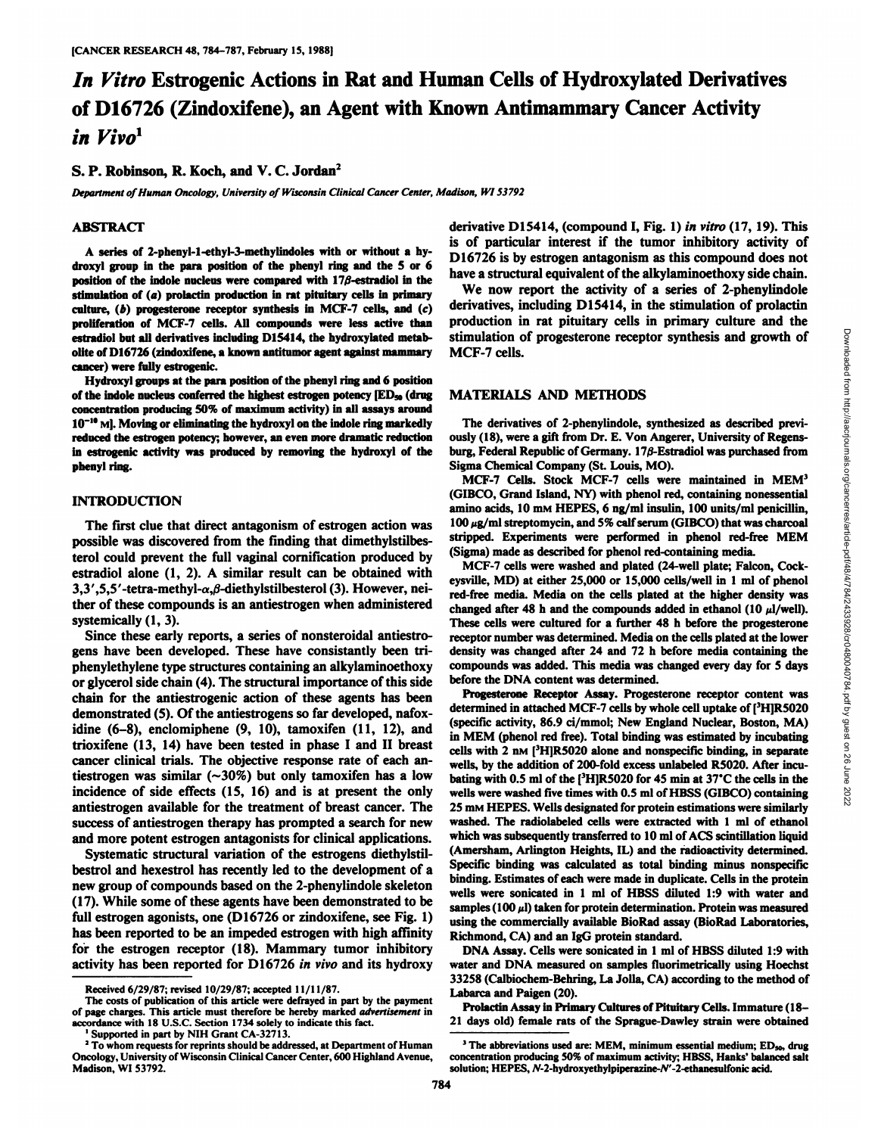# *In Vitro Estrogenic Actions in Ratand Human Cells of Hydroxylated Derivatives* of D16726 (Zindoxifene), an Agent with Known Antimammary Cancer Activity *in Vivo1*

## **S. P. Robinson, R. Koch, and V. C. Jordan2**

*Department of Human Oncology, University ofWisconsin Clinical Cancer Center, Madison, Wl 53792*

## **ABSTRACT**

**A series of 2-phenyl-l-ethyl-3-methylindoles with or without a hydroxyl group in the para position of the phenyl ring and the 5 or 6 position** of the **indole nucleus** were **compared** with  $17\beta$ -estradiol **in** the **stimulation of (a) prolactin production in ratpituitary cells in primary culture, (b) progesterone receptor synthesis in MCF-7 cells, and (c) proliferation of MCF-7 cells. All compounds were less active than i-stradini but all derivatives including 1)15414, the hydroxylated metab olite of D16726 (zindoxifene, a known antitumor agent against mammary cancer) were fully estrogenic.**

**Hydroxyl groups at the para position of the phenyl ring and 6 position of the indole nucleus conferred the highest estrogen potency [ED»(drug concentration producing 50% of maximum activity) in all assays around 10 "'M|. Moving or eliminating the hydroxyl on the indole ring markedly reduced the estrogen potency; however, an even more dramatic reduction in estrogenic activity was produced by removing the hydroxyl of the phenyl ring.**

## **INTRODUCTION**

The first clue that direct antagonism of estrogen action was possible was discovered from the finding that dimethylstilbesterol could prevent the full vaginal cornification produced by estradiol alone (1, 2). A similar result can be obtained with 3,3',5,5'-tetra-methyl- $\alpha$ , $\beta$ -diethylstilbesterol (3). However, neither of these compounds is an antiestrogen when administered systemically  $(1, 3)$ .

Since these early reports, a series of nonsteroidal antiestrogens have been developed. These have consistantly been triphenylethylene type structures containing an alkylaminoethoxy or glycerol side chain (4).The structural importance of this side chain for the antiestrogenic action of these agents has been **Progesterone Receptor Assay.** Progesterone receptor content was<br>determined in attached MCF-7 cells by whole cell uptake of [<sup>3</sup>H]R5020 demonstrated (5). Of the antiestrogens so far developed, nafoxidine (6-8), enclomiphene (9, 10), tamoxifen (11, 12), and trioxifene  $(13, 14)$  have been tested in phase I and II breast cancer clinical trials. The objective response rate of each an tiestrogen was similar (~30%) but only tamoxifen has a low incidence of side effects (15, 16) and is at present the only antiestrogen available for the treatment of breast cancer. The success of antiestrogen therapy has prompted a search for new and more potent estrogen antagonists for clinical applications.

Systematic structural variation of the estrogens diethylstilbestrol and hexestrol has recently led to the development of a new group of compounds based on the 2-phenylindole skeleton (17). While some of these agents have been demonstrated to be full estrogen agonists, one (D16726 or zindoxifene, see Fig. 1) has been reported to be an impeded estrogen with high affinity for the estrogen receptor (18). Mammary tumor inhibitory activity has been reported for D16726 in vivo and its hydroxy derivative D15414, (compound I, Fig. 1) in vitro (17, 19). This is of particular interest if the tumor inhibitory activity of D16726 is by estrogen antagonism as this compound does not have a structural equivalent of the alkylaminoethoxy side chain.

We now report the activity of a series of 2-phenylindole derivatives, including D15414, in the stimulation of prolactin production in rat pituitary cells in primary culture and the stimulation of progesterone receptor synthesis and growth of MCF-7 cells.

## **MATERIALS AND METHODS**

The derivatives of 2-phenylindole, synthesized as described previ ously (18), were a gift from Dr. E. Von Angerer, University of Regens-Sigma Chemical Company (St. Louis, MO). MCF-7 Cells. Stock MCF-7 cells were maintained in MEM3

(GIBCO, Grand Island, NY) with phenol red, containing nonessential amino acids, 10 mm HEPES, 6 ng/ml insulin, 100 units/ml penicillin,  $100 \mu g/ml$  streptomycin, and 5% calf serum (GIBCO) that was charcoal stripped. Experiments were performed in phenol red-free MEM (Sigma) made as described for phenol red-containing media.

stimulation of progesterone receptor synthesis and growth of<br>MCF-7 cells.<br>
MATERIALS AND METHODS<br>
The derivatives of 2-phenylindole, synthesized as described previ-<br>
ously (18), were a gift from Dr. E. Von Angerer, Univer MCF-7 cells were washed and plated (24-well plate; Falcon, Cockeysville, MD) at either 25,000 or 15,000 cells/well in 1 ml of phenol red-free media. Media on the cells plated at the higher density was changed after 48 h and the compounds added in ethanol (10  $\mu$ l/well). These cells were cultured for a further 48 h before the progesterone receptor number was determined. Media on the cells plated at the lower density was changed after 24 and 72 h before media containing the compounds was added. This media was changed every day for 5 days before the DNA content was determined.

Progesterone Receptor Assay. Progesterone receptor content was (specific activity, 86.9 ci/mmol; New England Nuclear, Boston, MA) in MEM (phenol red free). Total binding was estimated by incubating cells with  $2 \text{ nm}$  [<sup>3</sup>H]R5020 alone and nonspecific binding, in separate wells, by the addition of 200-fold excess unlabeled R5020. After incu bating with 0.5 ml of the [<sup>3</sup>H]R5020 for 45 min at 37°C the cells in the wells were washed five times with 0.5 ml of HBSS (GIBCO) containing 25 mm HEPES. Wells designated for protein estimations were similarly washed. The radiolabeled cells were extracted with 1 ml of ethanol which was subsequently transferred to 10 ml of ACS scintillation liquid (Amersham, Arlington Heights, IL) and the radioactivity determined. Specific binding was calculated as total binding minus nonspecific binding. Estimates of each were made in duplicate. Cells in the protein wells were sonicated in 1 ml of HBSS diluted 1:9 with water and samples (100  $\mu$ l) taken for protein determination. Protein was measured using the commercially available BioRad assay (BioRad Laboratories, Richmond, CA) and an IgG protein standard.

DNA Assay. Cells were sonicated in 1 ml of HBSS diluted 1:9 with water and DNA measured on samples fluorimetrically using Hoechst 33258 (Calbiochem-Behring, La Jolla, CA) according to the method of Labarca and Paigen (20).

**Prolactin Assay in Primary Cultures of Pituitary Cells. Immature (18- 21 days old) female rats of the Sprague-Dawley strain were obtained**

Received 6/29/87; revised 10/29/87; accepted 11/11/87.

The costs of publication of this article were defrayed in part by the payment of page charges. This article must therefore be hereby marked advertisement in cordance with 18 U.S.C. Section 1734 solely to indicate this fact.

Supported in part by NIH Grant CA-32713.

<sup>&</sup>lt;sup>2</sup> To whom requests for reprints should be addressed, at Department of Human Oncology, University of Wisconsin Clinical Cancer Center, 600 Highland Avenue, Madison, WI S3792.

<sup>&</sup>lt;sup>3</sup> The abbreviations used are: MEM, minimum essential medium;  $ED<sub>40</sub>$ , drug concentration producing 50% of maximum activity; HBSS, Hanks' balanced salt solution; HEPES, N-2-hydroxyethylpiperazine-N'-2-ethanesulfonic acid.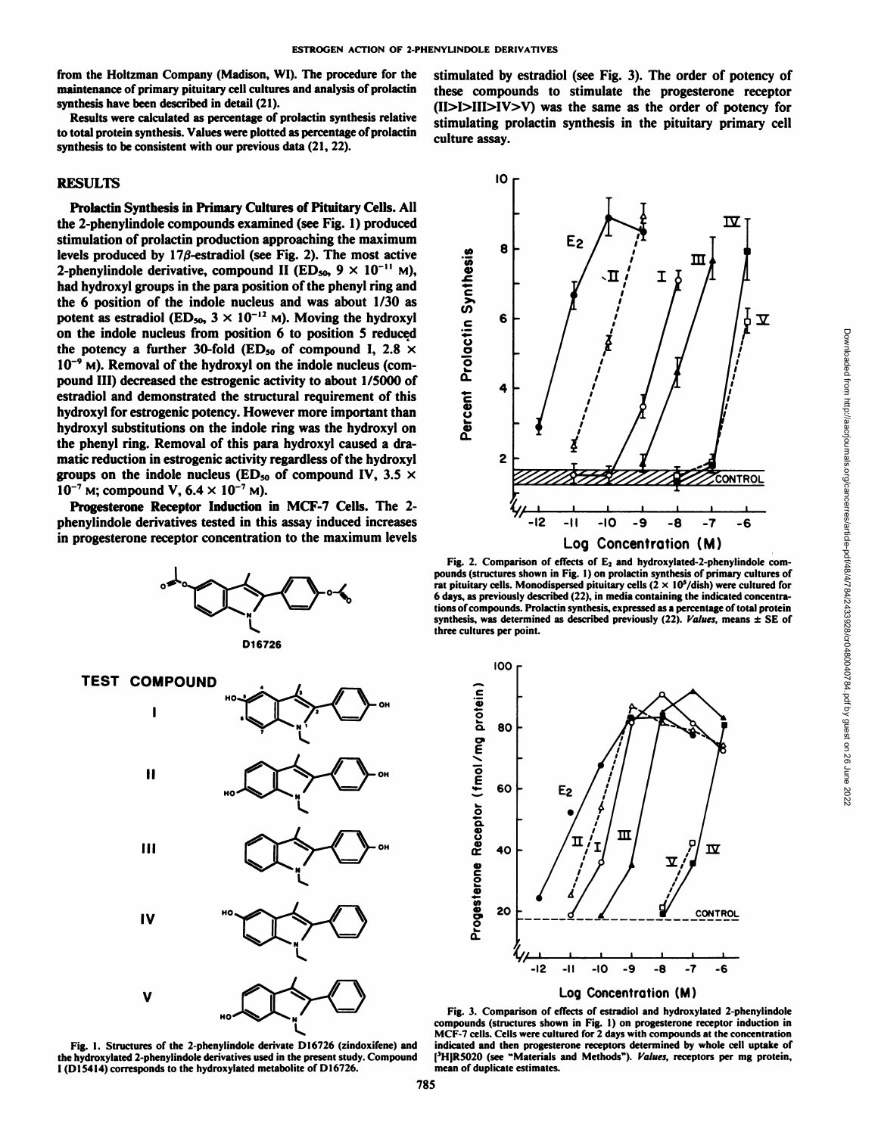from the Holtzman Company (Madison, WI). The procedure for the maintenance of primary pituitary cell cultures and analysis of prolactin synthesis have been described in detail (21).

Results were calculated as percentage of prolactin synthesis relative to total protein synthesis. Values were plotted as percentage of prolactin synthesis to be consistent with our previous data (21, 22).

### RESULTS

Prolactin Synthesis in Primary Cultures of Pituitary Cells. All the 2-phenylindóle compounds examined (see Fig. 1) produced stimulation of prolactin production approaching the maximum levels produced by  $17\beta$ -estradiol (see Fig. 2). The most active 2-phenylindole derivative, compound II (ED<sub>50</sub>,  $9 \times 10^{-11}$  M), had hydroxyl groups in the para position of the phenyl ring and<br>the 6 position of the indole nucleus and was about 1/30 as potent as estradiol (ED<sub>50</sub>,  $3 \times 10^{-12}$  M). Moving the hydroxyl on the indole nucleus from position 6 to position 5 reduced the potency a further 30-fold (ED<sub>50</sub> of compound I, 2.8  $\times$  $10^{-9}$  M). Removal of the hydroxyl on the indole nucleus (compound III) decreased the estrogenic activity to about 1/5000 of estradiol and demonstrated the structural requirement of this hydroxyl for estrogenic potency. However more important than hydroxyl substitutions on the indole ring was the hydroxyl on the phenyl ring. Removal of this para hydroxyl caused a dra matic reduction in estrogenic activity regardless of the hydroxyl groups on the indole nucleus (ED<sub>50</sub> of compound IV, 3.5  $\times$  $10^{-7}$  M; compound V,  $6.4 \times 10^{-7}$  M).

Progesterone Receptor Induction in MCF-7 Cells. The 2 phenylindole derivatives tested in this assay induced increases in progesterone receptor concentration to the maximum levels







the hydroxylated 2-phenylindole derivatives used in the present study. Compound 1(D15414) corresponds to the hydroxylated metabolite of D16726.

stimulated by estradiol (see Fig. 3). The order of potency of these compounds to stimulate the progesterone receptor (II>I>III>IV>V) was the same as the order of potency for stimulating prolactin synthesis in the pituitary primary cell culture assay.



pounds (structures shown in Fig.I) on prolactin synthesis of primary cultures of rat pituitary cells. Monodispersed pituitary cells  $(2 \times 10^5$ /dish) were cultured for 6 days, as previously described (22). in media containing the indicated concentra tions of compounds. Prolactin synthesis, expressed as a percentage of total protein synthesis, was determined as described previously (22). Values, means  $\pm$  SE of three cultures per point.



Fig. 1. Structures of the 2-phenylindole derivate D16726 (zindoxifene) and indicated and then progesterone receptors determined by whole cell uptake of hydroxylated 2-phenylindole derivatives used in the present study. Com Fig. 3. Comparison of effects of estradiol and hydroxylated 2-phenylindole compounds (structures shown in Fig. 1) on progesterone receptor induction in MCF-7 cells. Cells were cultured for 2 days with compounds at the concentration indicated and then progesterone receptors determined by whole cell uptake of mean of duplicate estimates.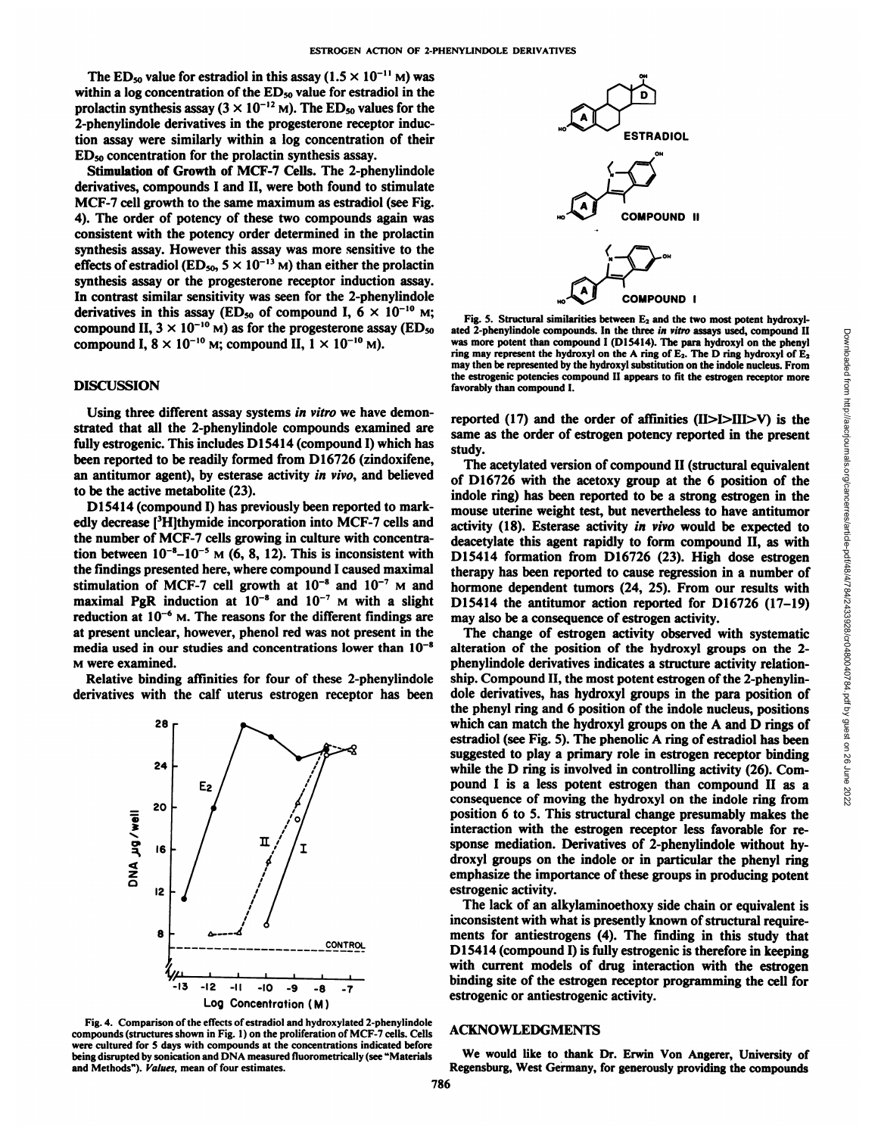The ED<sub>50</sub> value for estradiol in this assay ( $1.5 \times 10^{-11}$  M) was within a log concentration of the ED<sub>50</sub> value for estradiol in the prolactin synthesis assay ( $3 \times 10^{-12}$  M). The ED<sub>50</sub> values for the 2-phenylindole derivatives in the progesterone receptor induc tion assay were similarly within a log concentration of their EDso concentration for the prolactin synthesis assay.

Stimulation of Growth of MCF-7 Cells. The 2-phenylindole derivatives, compounds I and II, were both found to stimulate MCF-7 cell growth to the same maximum as estradiol (see Fig. 4). The order of potency of these two compounds again was consistent with the potency order determined in the prolactin synthesis assay. However this assay was more sensitive to the effects of estradiol (ED<sub>50</sub>, 5  $\times$  10<sup>-13</sup> M) than either the prolactin synthesis assay or the progesterone receptor induction assay. In contrast similar sensitivity was seen for the 2-phenylindole derivatives in this assay (ED<sub>50</sub> of compound I,  $6 \times 10^{-10}$  M; compound II,  $3 \times 10^{-10}$  M) as for the progesterone assay (ED<sub>50</sub>) compound I,  $8 \times 10^{-10}$  M; compound II,  $1 \times 10^{-10}$  M).

## **DISCUSSION**

Using three different assay systems in vitro we have demonstrated that all the 2-phenylindole compounds examined are fully estrogenic. This includes D15414 (compound I) which has been reported to be readily formed from D16726 (zindoxifene, an antitumor agent), by esterase activity in vivo, and believed to be the active metabolite (23).

D15414 (compound I) has previously been reported to mark edly decrease [3H]thymide incorporation into MCF-7 cells and the number of MCF-7 cells growing in culture with concentra tion between  $10^{-8}-10^{-5}$  M (6, 8, 12). This is inconsistent with the findings presented here, where compound I caused maximal stimulation of MCF-7 cell growth at  $10^{-8}$  and  $10^{-7}$  M and maximal PgR induction at  $10^{-8}$  and  $10^{-7}$  M with a slight reduction at  $10^{-6}$  M. The reasons for the different findings are at present unclear, however, phenol red was not present in the media used in our studies and concentrations lower than  $10^{-8}$ M were examined.

Relative binding affinities for four of these 2-phenylindole derivatives with the calf uterus estrogen receptor has been



Fig. 4. Comparison of the effects of estradiol and hydroxylated 2-phenylindole compounds (structures shown in Fig.1) on the proliferation of MCF-7 cells. Cells were cultured for 5 days with compounds at the concentrations indicated before being disrupted by sonication and DNA measured fluorometrically (see "Materials and Methods"). Values, mean of four estimates.



Fig. 5. Structural similarities between  $E_2$  and the two most potent hydroxylated 2-phenylindole compounds. In the three in vitro assays used, compound II was more potent than compound I (D15414). The para hydroxyl on the phenyl may then be represented by the hydroxyl substitution on the indole nucleus. From the estrogenic potencies compound II appears to fit the estrogen receptor more favorably than compound I.

reported (17) and the order of affinities (H>I>III>V) is the same as the order of estrogen potency reported in the present study.

The acetylated version of compound II (structural equivalent of D16726 with the acetoxy group at the 6 position of the indole ring) has been reported to be a strong estrogen in the mouse uterine weight test, but nevertheless to have antitumor activity (18). Esterase activity in vivo would be expected to deacetylate this agent rapidly to form compound II, as with D15414 formation from D16726 (23). High dose estrogen therapy has been reported to cause regression in a number of hormone dependent tumors (24, 25). From our results with D15414 the antitumor action reported for D16726 (17-19) may also be a consequence of estrogen activity.

ated 2-phenyimoide compound II the three three with assign stod, compound II (DIS414). The Dark photoxyl on the phark photoxyl on the phark phark phare are the hydroxyl substitution on the indelemections. From the acrossin The change of estrogen activity observed with systematic alteration of the position of the hydroxyl groups on the 2 phenylindole derivatives indicates a structure activity relation ship. Compound II, the most potent estrogen of the 2-phenylin dole derivatives, has hydroxyl groups in the para position of the phenyl ring and 6 position of the indole nucleus, positions which can match the hydroxyl groups on the A and D rings of estradiol (see Fig. 5). The phenolic A ring of estradiol has been suggested to play a primary role in estrogen receptor binding while the D ring is involved in controlling activity (26). Com pound I is a less potent estrogen than compound II as a consequence of moving the hydroxyl on the indole ring from position 6 to 5. This structural change presumably makes the interaction with the estrogen receptor less favorable for re sponse mediation. Derivatives of 2-phenylindole without hy droxyl groups on the indole or in particular the phenyl ring emphasize the importance of these groups in producing potent estrogenic activity.

The lack of an alkylaminoethoxy side chain or equivalent is inconsistent with what is presently known of structural requirements for antiestrogens (4). The finding in this study that D15414 (compound I) is fully estrogenic is therefore in keeping with current models of drug interaction with the estrogen binding site of the estrogen receptor programming the cell for estrogenic or antiestrogenic activity.

#### ACKNOWLEDGMENTS

We would like to thank Dr. Erwin Von Angerer, University of Regensburg, West Germany, for generously providing the compounds